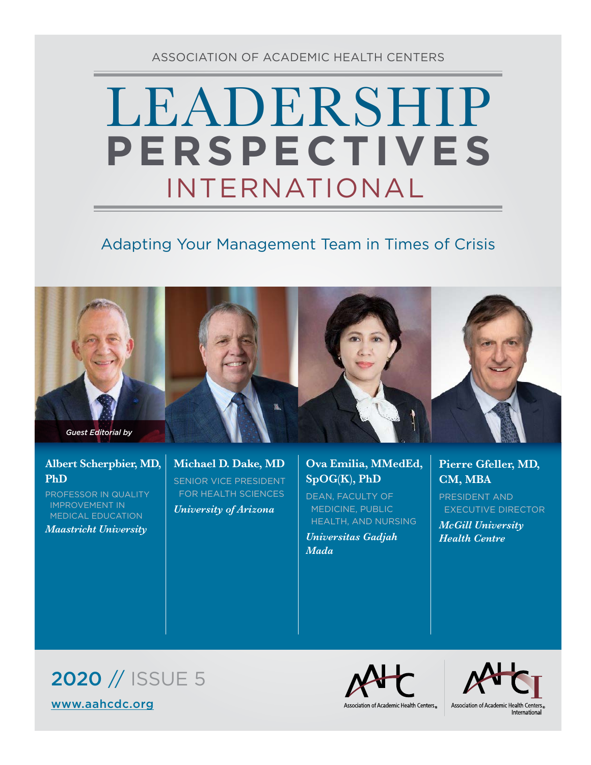ASSOCIATION OF ACADEMIC HEALTH CENTERS

# LEADERSHIP INTERNATIONAL **PERSPECTIVES**

# Adapting Your Management Team in Times of Crisis



#### **Albert Scherpbier, MD, PhD**

PROFESSOR IN QUALITY IMPROVEMENT IN MEDICAL EDUCATION *Maastricht University*

**Michael D. Dake, MD** SENIOR VICE PRESIDENT FOR HEALTH SCIENCES

*University of Arizona*

## **Ova Emilia, MMedEd, SpOG(K), PhD**

DEAN, FACULTY OF MEDICINE, PUBLIC HEALTH, AND NURSING

*Universitas Gadjah Mada*

### **Pierre Gfeller, MD, CM, MBA**

PRESIDENT AND EXECUTIVE DIRECTOR *McGill University Health Centre*





Association of Academic Health Centers®

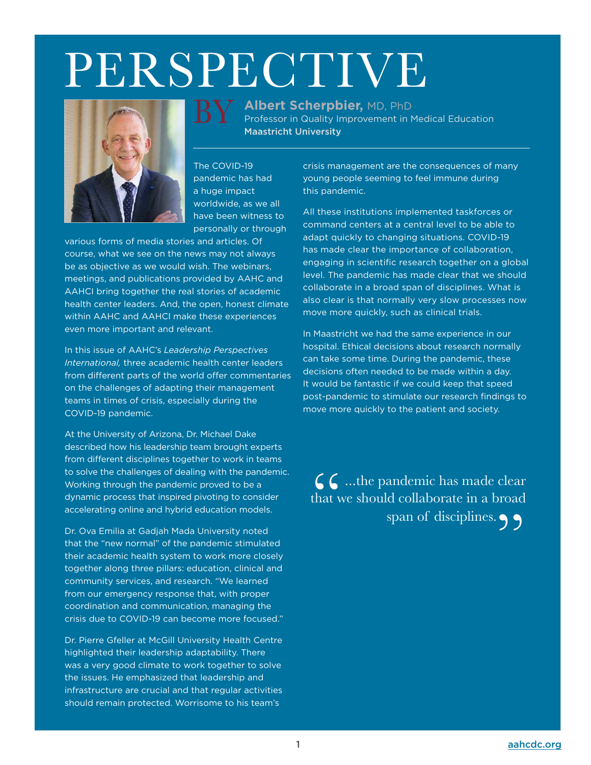# PERSPECTIVE

BY

**Albert Scherpbier,** MD, PhD

Maastricht University

Professor in Quality Improvement in Medical Education



The COVID-19 pandemic has had a huge impact worldwide, as we all have been witness to

personally or through various forms of media stories and articles. Of course, what we see on the news may not always be as objective as we would wish. The webinars, meetings, and publications provided by AAHC and AAHCI bring together the real stories of academic health center leaders. And, the open, honest climate within AAHC and AAHCI make these experiences even more important and relevant.

In this issue of AAHC's *Leadership Perspectives International,* three academic health center leaders from different parts of the world offer commentaries on the challenges of adapting their management teams in times of crisis, especially during the COVID-19 pandemic.

At the University of Arizona, Dr. Michael Dake described how his leadership team brought experts from different disciplines together to work in teams to solve the challenges of dealing with the pandemic. Working through the pandemic proved to be a dynamic process that inspired pivoting to consider accelerating online and hybrid education models.

Dr. Ova Emilia at Gadjah Mada University noted that the "new normal" of the pandemic stimulated their academic health system to work more closely together along three pillars: education, clinical and community services, and research. "We learned from our emergency response that, with proper coordination and communication, managing the crisis due to COVID-19 can become more focused."

Dr. Pierre Gfeller at McGill University Health Centre highlighted their leadership adaptability. There was a very good climate to work together to solve the issues. He emphasized that leadership and infrastructure are crucial and that regular activities should remain protected. Worrisome to his team's

crisis management are the consequences of many young people seeming to feel immune during this pandemic.

All these institutions implemented taskforces or command centers at a central level to be able to adapt quickly to changing situations. COVID-19 has made clear the importance of collaboration, engaging in scientific research together on a global level. The pandemic has made clear that we should collaborate in a broad span of disciplines. What is also clear is that normally very slow processes now move more quickly, such as clinical trials.

In Maastricht we had the same experience in our hospital. Ethical decisions about research normally can take some time. During the pandemic, these decisions often needed to be made within a day. It would be fantastic if we could keep that speed post-pandemic to stimulate our research findings to move more quickly to the patient and society.

CC ...the pandemic has made clear<br>that we should collaborate in a broad<br>span of disciplines. that we should collaborate in a broad span of disciplines.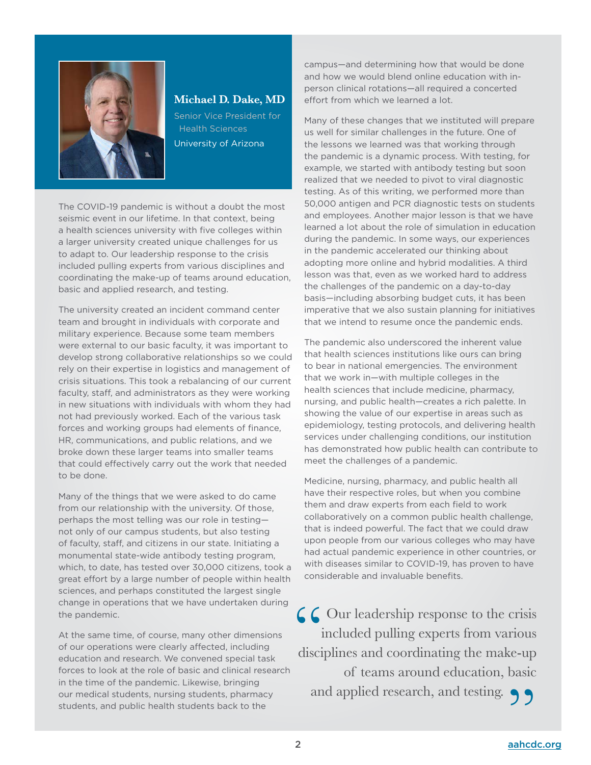

#### **Michael D. Dake, MD**

Senior Vice President for Health Sciences University of Arizona

The COVID-19 pandemic is without a doubt the most seismic event in our lifetime. In that context, being a health sciences university with five colleges within a larger university created unique challenges for us to adapt to. Our leadership response to the crisis included pulling experts from various disciplines and coordinating the make-up of teams around education, basic and applied research, and testing.

The university created an incident command center team and brought in individuals with corporate and military experience. Because some team members were external to our basic faculty, it was important to develop strong collaborative relationships so we could rely on their expertise in logistics and management of crisis situations. This took a rebalancing of our current faculty, staff, and administrators as they were working in new situations with individuals with whom they had not had previously worked. Each of the various task forces and working groups had elements of finance, HR, communications, and public relations, and we broke down these larger teams into smaller teams that could effectively carry out the work that needed to be done.

Many of the things that we were asked to do came from our relationship with the university. Of those, perhaps the most telling was our role in testing not only of our campus students, but also testing of faculty, staff, and citizens in our state. Initiating a monumental state-wide antibody testing program, which, to date, has tested over 30,000 citizens, took a great effort by a large number of people within health sciences, and perhaps constituted the largest single change in operations that we have undertaken during the pandemic.

At the same time, of course, many other dimensions of our operations were clearly affected, including education and research. We convened special task forces to look at the role of basic and clinical research in the time of the pandemic. Likewise, bringing our medical students, nursing students, pharmacy students, and public health students back to the

campus—and determining how that would be done and how we would blend online education with inperson clinical rotations—all required a concerted effort from which we learned a lot.

Many of these changes that we instituted will prepare us well for similar challenges in the future. One of the lessons we learned was that working through the pandemic is a dynamic process. With testing, for example, we started with antibody testing but soon realized that we needed to pivot to viral diagnostic testing. As of this writing, we performed more than 50,000 antigen and PCR diagnostic tests on students and employees. Another major lesson is that we have learned a lot about the role of simulation in education during the pandemic. In some ways, our experiences in the pandemic accelerated our thinking about adopting more online and hybrid modalities. A third lesson was that, even as we worked hard to address the challenges of the pandemic on a day-to-day basis—including absorbing budget cuts, it has been imperative that we also sustain planning for initiatives that we intend to resume once the pandemic ends.

The pandemic also underscored the inherent value that health sciences institutions like ours can bring to bear in national emergencies. The environment that we work in—with multiple colleges in the health sciences that include medicine, pharmacy, nursing, and public health—creates a rich palette. In showing the value of our expertise in areas such as epidemiology, testing protocols, and delivering health services under challenging conditions, our institution has demonstrated how public health can contribute to meet the challenges of a pandemic.

Medicine, nursing, pharmacy, and public health all have their respective roles, but when you combine them and draw experts from each field to work collaboratively on a common public health challenge, that is indeed powerful. The fact that we could draw upon people from our various colleges who may have had actual pandemic experience in other countries, or with diseases similar to COVID-19, has proven to have considerable and invaluable benefits.

CC Our leadership response to the crisis included pulling experts from various disciplines and coordinating the make-up of teams around education, basic and applied research, and testing.  $\bigcirc$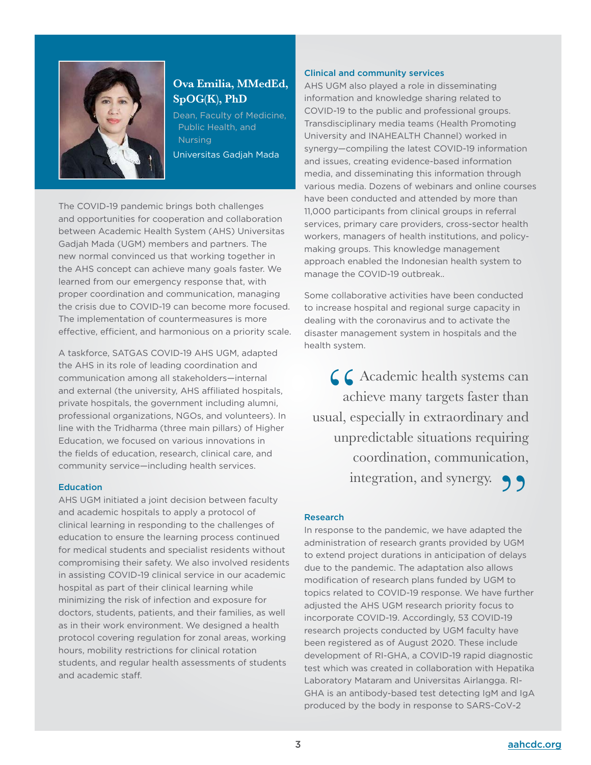

### **Ova Emilia, MMedEd, SpOG(K), PhD**

Dean, Faculty of Medicine, Public Health, and **Nursing** Universitas Gadjah Mada

The COVID-19 pandemic brings both challenges and opportunities for cooperation and collaboration between Academic Health System (AHS) Universitas Gadjah Mada (UGM) members and partners. The new normal convinced us that working together in the AHS concept can achieve many goals faster. We learned from our emergency response that, with proper coordination and communication, managing the crisis due to COVID-19 can become more focused. The implementation of countermeasures is more effective, efficient, and harmonious on a priority scale.

A taskforce, SATGAS COVID-19 AHS UGM, adapted the AHS in its role of leading coordination and communication among all stakeholders—internal and external (the university, AHS affiliated hospitals, private hospitals, the government including alumni, professional organizations, NGOs, and volunteers). In line with the Tridharma (three main pillars) of Higher Education, we focused on various innovations in the fields of education, research, clinical care, and community service—including health services.

#### **Education**

AHS UGM initiated a joint decision between faculty and academic hospitals to apply a protocol of clinical learning in responding to the challenges of education to ensure the learning process continued for medical students and specialist residents without compromising their safety. We also involved residents in assisting COVID-19 clinical service in our academic hospital as part of their clinical learning while minimizing the risk of infection and exposure for doctors, students, patients, and their families, as well as in their work environment. We designed a health protocol covering regulation for zonal areas, working hours, mobility restrictions for clinical rotation students, and regular health assessments of students and academic staff.

#### Clinical and community services

AHS UGM also played a role in disseminating information and knowledge sharing related to COVID-19 to the public and professional groups. Transdisciplinary media teams (Health Promoting University and INAHEALTH Channel) worked in synergy—compiling the latest COVID-19 information and issues, creating evidence-based information media, and disseminating this information through various media. Dozens of webinars and online courses have been conducted and attended by more than 11,000 participants from clinical groups in referral services, primary care providers, cross-sector health workers, managers of health institutions, and policymaking groups. This knowledge management approach enabled the Indonesian health system to manage the COVID-19 outbreak..

Some collaborative activities have been conducted to increase hospital and regional surge capacity in dealing with the coronavirus and to activate the disaster management system in hospitals and the health system.

 $C$  Academic health systems can achieve many targets faster than usual, especially in extraordinary and unpredictable situations requiring coordination, communication, integration, and synergy.  $\bigcirc$ 

#### Research

In response to the pandemic, we have adapted the administration of research grants provided by UGM to extend project durations in anticipation of delays due to the pandemic. The adaptation also allows modification of research plans funded by UGM to topics related to COVID-19 response. We have further adjusted the AHS UGM research priority focus to incorporate COVID-19. Accordingly, 53 COVID-19 research projects conducted by UGM faculty have been registered as of August 2020. These include development of RI-GHA, a COVID-19 rapid diagnostic test which was created in collaboration with Hepatika Laboratory Mataram and Universitas Airlangga. RI-GHA is an antibody-based test detecting IgM and IgA produced by the body in response to SARS-CoV-2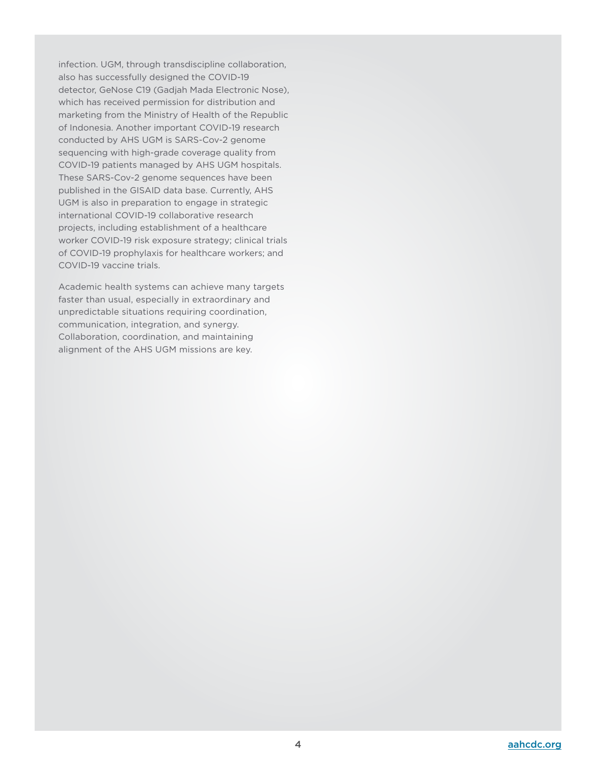infection. UGM, through transdiscipline collaboration, also has successfully designed the COVID-19 detector, GeNose C19 (Gadjah Mada Electronic Nose), which has received permission for distribution and marketing from the Ministry of Health of the Republic of Indonesia. Another important COVID-19 research conducted by AHS UGM is SARS-Cov-2 genome sequencing with high-grade coverage quality from COVID-19 patients managed by AHS UGM hospitals. These SARS-Cov-2 genome sequences have been published in the GISAID data base. Currently, AHS UGM is also in preparation to engage in strategic international COVID-19 collaborative research projects, including establishment of a healthcare worker COVID-19 risk exposure strategy; clinical trials of COVID-19 prophylaxis for healthcare workers; and COVID-19 vaccine trials.

Academic health systems can achieve many targets faster than usual, especially in extraordinary and unpredictable situations requiring coordination, communication, integration, and synergy. Collaboration, coordination, and maintaining alignment of the AHS UGM missions are key.